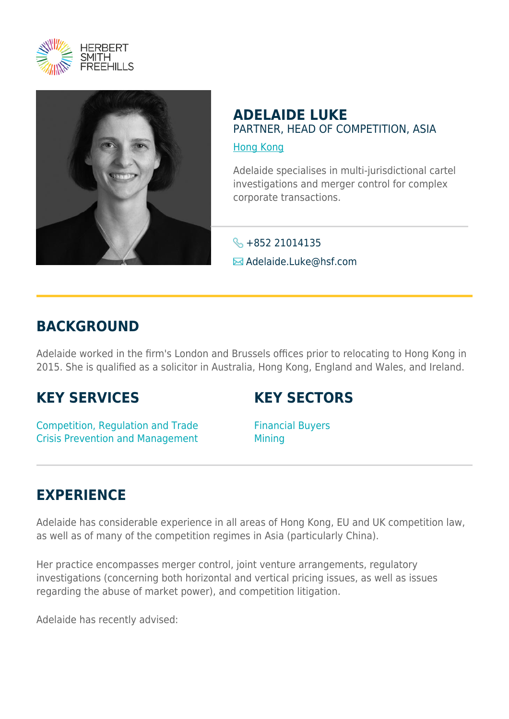



### **ADELAIDE LUKE** PARTNER, HEAD OF COMPETITION, ASIA

[Hong Kong](https://www.herbertsmithfreehills.com/lang-fr/where-we-work/hong-kong)

Adelaide specialises in multi-jurisdictional cartel investigations and merger control for complex corporate transactions.

S +852 21014135

**E** Adelaide.Luke@hsf.com

# **BACKGROUND**

Adelaide worked in the firm's London and Brussels offices prior to relocating to Hong Kong in 2015. She is qualified as a solicitor in Australia, Hong Kong, England and Wales, and Ireland.

# **KEY SERVICES**

### **KEY SECTORS**

Competition, Regulation and Trade Crisis Prevention and Management Financial Buyers **Mining** 

# **EXPERIENCE**

Adelaide has considerable experience in all areas of Hong Kong, EU and UK competition law, as well as of many of the competition regimes in Asia (particularly China).

Her practice encompasses merger control, joint venture arrangements, regulatory investigations (concerning both horizontal and vertical pricing issues, as well as issues regarding the abuse of market power), and competition litigation.

Adelaide has recently advised: